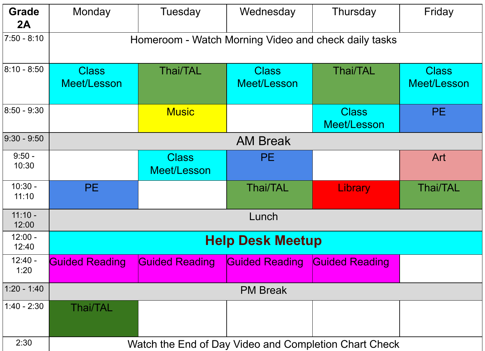| <b>Grade</b><br>2A | Monday                                                | Tuesday                     | Wednesday                   | Thursday                    | Friday                      |  |  |  |
|--------------------|-------------------------------------------------------|-----------------------------|-----------------------------|-----------------------------|-----------------------------|--|--|--|
| $7:50 - 8:10$      | Homeroom - Watch Morning Video and check daily tasks  |                             |                             |                             |                             |  |  |  |
| $8:10 - 8:50$      | <b>Class</b><br>Meet/Lesson                           | <b>Thai/TAL</b>             | <b>Class</b><br>Meet/Lesson | <b>Thai/TAL</b>             | <b>Class</b><br>Meet/Lesson |  |  |  |
| $8:50 - 9:30$      |                                                       | <b>Music</b>                |                             | <b>Class</b><br>Meet/Lesson | PE.                         |  |  |  |
| $9:30 - 9:50$      | <b>AM Break</b>                                       |                             |                             |                             |                             |  |  |  |
| $9:50 -$<br>10:30  |                                                       | <b>Class</b><br>Meet/Lesson | <b>PE</b>                   |                             | Art                         |  |  |  |
| $10:30 -$<br>11:10 | <b>PE</b>                                             |                             | <b>Thai/TAL</b>             | Library                     | <b>Thai/TAL</b>             |  |  |  |
| $11:10 -$<br>12:00 | Lunch                                                 |                             |                             |                             |                             |  |  |  |
| $12:00 -$<br>12:40 | <b>Help Desk Meetup</b>                               |                             |                             |                             |                             |  |  |  |
| $12:40 -$<br>1:20  | <b>Guided Reading</b>                                 | <b>Guided Reading</b>       | <b>Guided Reading</b>       | <b>Guided Reading</b>       |                             |  |  |  |
| $1:20 - 1:40$      | <b>PM Break</b>                                       |                             |                             |                             |                             |  |  |  |
| $1:40 - 2:30$      | <b>Thai/TAL</b>                                       |                             |                             |                             |                             |  |  |  |
| 2:30               | Watch the End of Day Video and Completion Chart Check |                             |                             |                             |                             |  |  |  |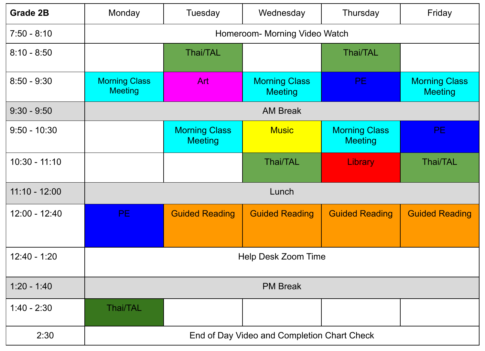| <b>Grade 2B</b> | Monday                                      | Tuesday                                | Wednesday                              | Thursday                               | Friday                                 |  |  |
|-----------------|---------------------------------------------|----------------------------------------|----------------------------------------|----------------------------------------|----------------------------------------|--|--|
| $7:50 - 8:10$   | Homeroom- Morning Video Watch               |                                        |                                        |                                        |                                        |  |  |
| $8:10 - 8:50$   |                                             | <b>Thai/TAL</b>                        |                                        | <b>Thai/TAL</b>                        |                                        |  |  |
| $8:50 - 9:30$   | <b>Morning Class</b><br><b>Meeting</b>      | <b>Art</b>                             | <b>Morning Class</b><br><b>Meeting</b> | PE.                                    | <b>Morning Class</b><br><b>Meeting</b> |  |  |
| $9:30 - 9:50$   | <b>AM Break</b>                             |                                        |                                        |                                        |                                        |  |  |
| $9:50 - 10:30$  |                                             | <b>Morning Class</b><br><b>Meeting</b> | <b>Music</b>                           | <b>Morning Class</b><br><b>Meeting</b> | PE.                                    |  |  |
| $10:30 - 11:10$ |                                             |                                        | Thai/TAL                               | Library                                | <b>Thai/TAL</b>                        |  |  |
| $11:10 - 12:00$ | Lunch                                       |                                        |                                        |                                        |                                        |  |  |
| $12:00 - 12:40$ | PE.                                         | <b>Guided Reading</b>                  | <b>Guided Reading</b>                  | <b>Guided Reading</b>                  | <b>Guided Reading</b>                  |  |  |
| $12:40 - 1:20$  | Help Desk Zoom Time                         |                                        |                                        |                                        |                                        |  |  |
| $1:20 - 1:40$   | <b>PM Break</b>                             |                                        |                                        |                                        |                                        |  |  |
| $1:40 - 2:30$   | <b>Thai/TAL</b>                             |                                        |                                        |                                        |                                        |  |  |
| 2:30            | End of Day Video and Completion Chart Check |                                        |                                        |                                        |                                        |  |  |